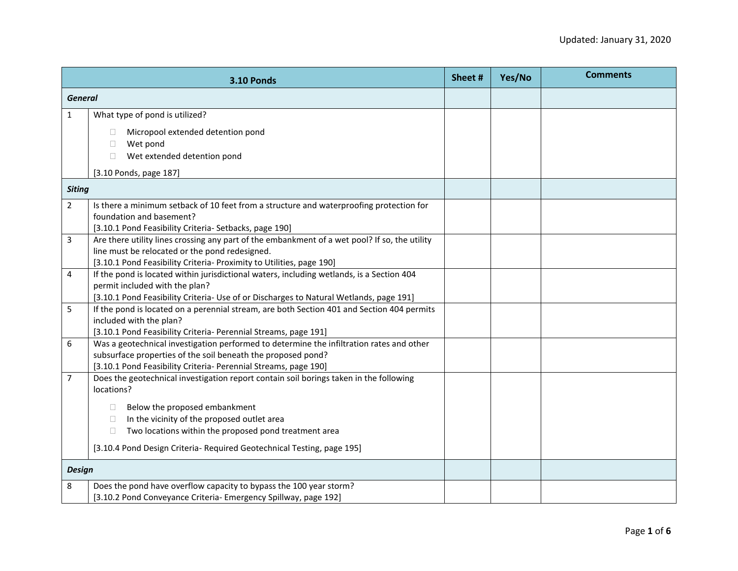|                | <b>3.10 Ponds</b>                                                                                                                                                                                                           | Sheet # | Yes/No | <b>Comments</b> |
|----------------|-----------------------------------------------------------------------------------------------------------------------------------------------------------------------------------------------------------------------------|---------|--------|-----------------|
| <b>General</b> |                                                                                                                                                                                                                             |         |        |                 |
| $\mathbf 1$    | What type of pond is utilized?                                                                                                                                                                                              |         |        |                 |
|                | Micropool extended detention pond<br>Wet pond<br>П<br>Wet extended detention pond<br>П.                                                                                                                                     |         |        |                 |
|                | [3.10 Ponds, page 187]                                                                                                                                                                                                      |         |        |                 |
| <b>Siting</b>  |                                                                                                                                                                                                                             |         |        |                 |
| $\overline{2}$ | Is there a minimum setback of 10 feet from a structure and waterproofing protection for<br>foundation and basement?<br>[3.10.1 Pond Feasibility Criteria- Setbacks, page 190]                                               |         |        |                 |
| 3              | Are there utility lines crossing any part of the embankment of a wet pool? If so, the utility<br>line must be relocated or the pond redesigned.<br>[3.10.1 Pond Feasibility Criteria- Proximity to Utilities, page 190]     |         |        |                 |
| 4              | If the pond is located within jurisdictional waters, including wetlands, is a Section 404<br>permit included with the plan?<br>[3.10.1 Pond Feasibility Criteria- Use of or Discharges to Natural Wetlands, page 191]       |         |        |                 |
| 5              | If the pond is located on a perennial stream, are both Section 401 and Section 404 permits<br>included with the plan?<br>[3.10.1 Pond Feasibility Criteria- Perennial Streams, page 191]                                    |         |        |                 |
| 6              | Was a geotechnical investigation performed to determine the infiltration rates and other<br>subsurface properties of the soil beneath the proposed pond?<br>[3.10.1 Pond Feasibility Criteria- Perennial Streams, page 190] |         |        |                 |
| $\overline{7}$ | Does the geotechnical investigation report contain soil borings taken in the following<br>locations?                                                                                                                        |         |        |                 |
|                | Below the proposed embankment<br>$\Box$<br>In the vicinity of the proposed outlet area<br>□<br>Two locations within the proposed pond treatment area<br>П.                                                                  |         |        |                 |
|                | [3.10.4 Pond Design Criteria- Required Geotechnical Testing, page 195]                                                                                                                                                      |         |        |                 |
| <b>Design</b>  |                                                                                                                                                                                                                             |         |        |                 |
| 8              | Does the pond have overflow capacity to bypass the 100 year storm?<br>[3.10.2 Pond Conveyance Criteria- Emergency Spillway, page 192]                                                                                       |         |        |                 |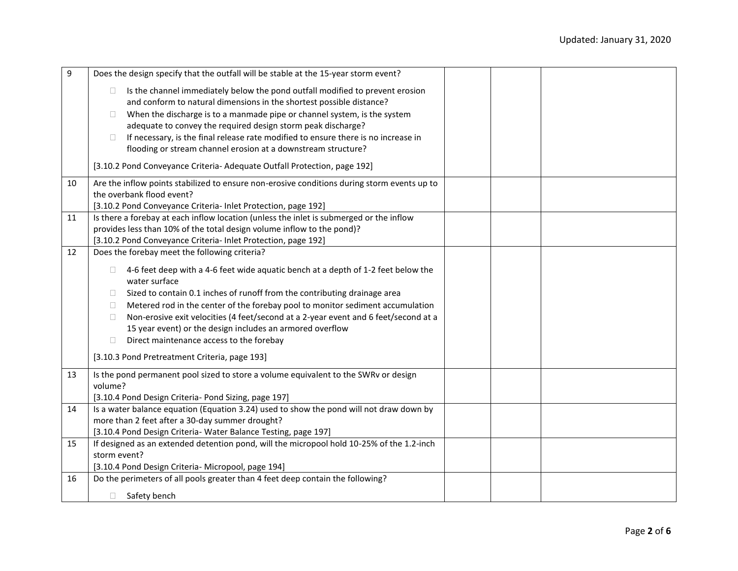| 9  | Does the design specify that the outfall will be stable at the 15-year storm event?                                                             |  |
|----|-------------------------------------------------------------------------------------------------------------------------------------------------|--|
|    | Is the channel immediately below the pond outfall modified to prevent erosion<br>$\Box$                                                         |  |
|    | and conform to natural dimensions in the shortest possible distance?                                                                            |  |
|    | When the discharge is to a manmade pipe or channel system, is the system<br>$\Box$                                                              |  |
|    | adequate to convey the required design storm peak discharge?                                                                                    |  |
|    | If necessary, is the final release rate modified to ensure there is no increase in<br>$\Box$                                                    |  |
|    | flooding or stream channel erosion at a downstream structure?                                                                                   |  |
|    | [3.10.2 Pond Conveyance Criteria- Adequate Outfall Protection, page 192]                                                                        |  |
| 10 | Are the inflow points stabilized to ensure non-erosive conditions during storm events up to                                                     |  |
|    | the overbank flood event?                                                                                                                       |  |
|    | [3.10.2 Pond Conveyance Criteria- Inlet Protection, page 192]                                                                                   |  |
| 11 | Is there a forebay at each inflow location (unless the inlet is submerged or the inflow                                                         |  |
|    | provides less than 10% of the total design volume inflow to the pond)?                                                                          |  |
|    | [3.10.2 Pond Conveyance Criteria- Inlet Protection, page 192]                                                                                   |  |
| 12 | Does the forebay meet the following criteria?                                                                                                   |  |
|    | 4-6 feet deep with a 4-6 feet wide aquatic bench at a depth of 1-2 feet below the<br>$\Box$                                                     |  |
|    | water surface                                                                                                                                   |  |
|    | Sized to contain 0.1 inches of runoff from the contributing drainage area<br>$\Box$                                                             |  |
|    | Metered rod in the center of the forebay pool to monitor sediment accumulation<br>$\Box$                                                        |  |
|    | Non-erosive exit velocities (4 feet/second at a 2-year event and 6 feet/second at a<br>$\Box$                                                   |  |
|    | 15 year event) or the design includes an armored overflow                                                                                       |  |
|    | Direct maintenance access to the forebay<br>$\Box$                                                                                              |  |
|    | [3.10.3 Pond Pretreatment Criteria, page 193]                                                                                                   |  |
|    |                                                                                                                                                 |  |
| 13 | Is the pond permanent pool sized to store a volume equivalent to the SWRv or design<br>volume?                                                  |  |
|    |                                                                                                                                                 |  |
| 14 | [3.10.4 Pond Design Criteria- Pond Sizing, page 197]<br>Is a water balance equation (Equation 3.24) used to show the pond will not draw down by |  |
|    | more than 2 feet after a 30-day summer drought?                                                                                                 |  |
|    | [3.10.4 Pond Design Criteria- Water Balance Testing, page 197]                                                                                  |  |
| 15 | If designed as an extended detention pond, will the micropool hold 10-25% of the 1.2-inch                                                       |  |
|    | storm event?                                                                                                                                    |  |
|    | [3.10.4 Pond Design Criteria- Micropool, page 194]                                                                                              |  |
| 16 | Do the perimeters of all pools greater than 4 feet deep contain the following?                                                                  |  |
|    |                                                                                                                                                 |  |
|    | Safety bench<br>$\Box$                                                                                                                          |  |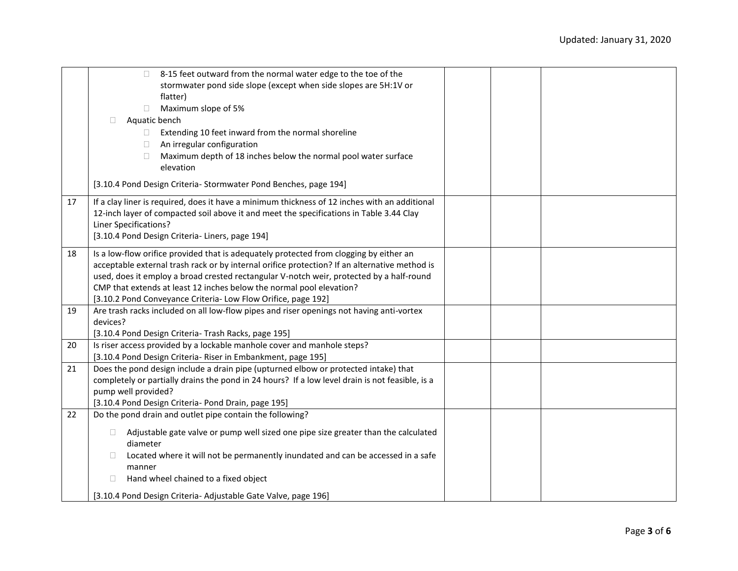|    | 8-15 feet outward from the normal water edge to the toe of the<br>$\Box$                        |  |  |
|----|-------------------------------------------------------------------------------------------------|--|--|
|    | stormwater pond side slope (except when side slopes are 5H:1V or                                |  |  |
|    | flatter)                                                                                        |  |  |
|    | Maximum slope of 5%<br>$\Box$                                                                   |  |  |
|    | Aquatic bench<br>П.                                                                             |  |  |
|    | Extending 10 feet inward from the normal shoreline<br>O.                                        |  |  |
|    | An irregular configuration                                                                      |  |  |
|    | Maximum depth of 18 inches below the normal pool water surface<br>П                             |  |  |
|    | elevation                                                                                       |  |  |
|    | [3.10.4 Pond Design Criteria- Stormwater Pond Benches, page 194]                                |  |  |
| 17 | If a clay liner is required, does it have a minimum thickness of 12 inches with an additional   |  |  |
|    | 12-inch layer of compacted soil above it and meet the specifications in Table 3.44 Clay         |  |  |
|    | <b>Liner Specifications?</b>                                                                    |  |  |
|    | [3.10.4 Pond Design Criteria- Liners, page 194]                                                 |  |  |
| 18 | Is a low-flow orifice provided that is adequately protected from clogging by either an          |  |  |
|    | acceptable external trash rack or by internal orifice protection? If an alternative method is   |  |  |
|    | used, does it employ a broad crested rectangular V-notch weir, protected by a half-round        |  |  |
|    | CMP that extends at least 12 inches below the normal pool elevation?                            |  |  |
|    | [3.10.2 Pond Conveyance Criteria- Low Flow Orifice, page 192]                                   |  |  |
| 19 | Are trash racks included on all low-flow pipes and riser openings not having anti-vortex        |  |  |
|    | devices?                                                                                        |  |  |
|    | [3.10.4 Pond Design Criteria- Trash Racks, page 195]                                            |  |  |
| 20 | Is riser access provided by a lockable manhole cover and manhole steps?                         |  |  |
|    | [3.10.4 Pond Design Criteria- Riser in Embankment, page 195]                                    |  |  |
| 21 | Does the pond design include a drain pipe (upturned elbow or protected intake) that             |  |  |
|    | completely or partially drains the pond in 24 hours? If a low level drain is not feasible, is a |  |  |
|    | pump well provided?                                                                             |  |  |
|    | [3.10.4 Pond Design Criteria- Pond Drain, page 195]                                             |  |  |
| 22 | Do the pond drain and outlet pipe contain the following?                                        |  |  |
|    | Adjustable gate valve or pump well sized one pipe size greater than the calculated<br>$\Box$    |  |  |
|    | diameter                                                                                        |  |  |
|    | Located where it will not be permanently inundated and can be accessed in a safe                |  |  |
|    | manner                                                                                          |  |  |
|    | Hand wheel chained to a fixed object<br>$\Box$                                                  |  |  |
|    |                                                                                                 |  |  |
|    | [3.10.4 Pond Design Criteria- Adjustable Gate Valve, page 196]                                  |  |  |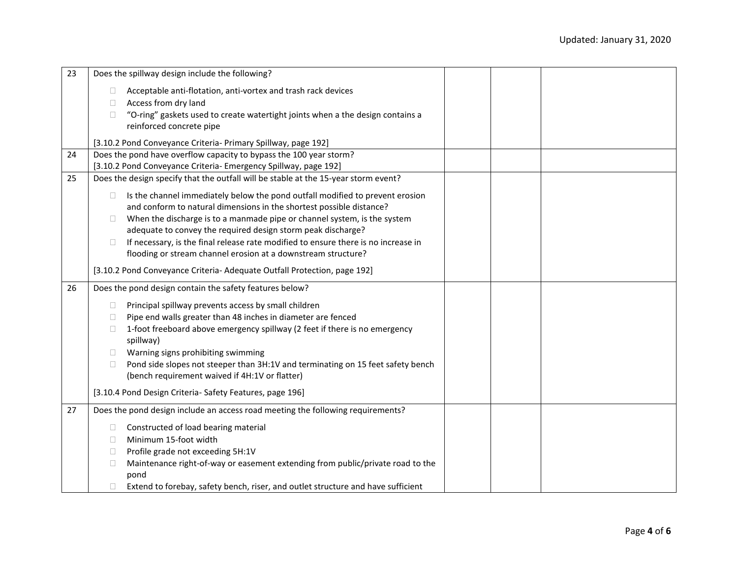| 23 | Does the spillway design include the following?                                                                                                    |
|----|----------------------------------------------------------------------------------------------------------------------------------------------------|
|    | Acceptable anti-flotation, anti-vortex and trash rack devices                                                                                      |
|    | Access from dry land<br>$\Box$                                                                                                                     |
|    | "O-ring" gaskets used to create watertight joints when a the design contains a<br>$\Box$                                                           |
|    | reinforced concrete pipe                                                                                                                           |
|    | [3.10.2 Pond Conveyance Criteria- Primary Spillway, page 192]                                                                                      |
| 24 | Does the pond have overflow capacity to bypass the 100 year storm?                                                                                 |
|    | [3.10.2 Pond Conveyance Criteria- Emergency Spillway, page 192]                                                                                    |
| 25 | Does the design specify that the outfall will be stable at the 15-year storm event?                                                                |
|    |                                                                                                                                                    |
|    | Is the channel immediately below the pond outfall modified to prevent erosion<br>$\Box$                                                            |
|    | and conform to natural dimensions in the shortest possible distance?                                                                               |
|    | When the discharge is to a manmade pipe or channel system, is the system                                                                           |
|    | adequate to convey the required design storm peak discharge?<br>If necessary, is the final release rate modified to ensure there is no increase in |
|    | flooding or stream channel erosion at a downstream structure?                                                                                      |
|    |                                                                                                                                                    |
|    | [3.10.2 Pond Conveyance Criteria- Adequate Outfall Protection, page 192]                                                                           |
| 26 | Does the pond design contain the safety features below?                                                                                            |
|    | Principal spillway prevents access by small children<br>$\Box$                                                                                     |
|    | Pipe end walls greater than 48 inches in diameter are fenced<br>Ш                                                                                  |
|    | 1-foot freeboard above emergency spillway (2 feet if there is no emergency<br>Ш                                                                    |
|    | spillway)                                                                                                                                          |
|    | Warning signs prohibiting swimming                                                                                                                 |
|    | Pond side slopes not steeper than 3H:1V and terminating on 15 feet safety bench<br>Ш                                                               |
|    | (bench requirement waived if 4H:1V or flatter)                                                                                                     |
|    | [3.10.4 Pond Design Criteria- Safety Features, page 196]                                                                                           |
| 27 | Does the pond design include an access road meeting the following requirements?                                                                    |
|    | Constructed of load bearing material                                                                                                               |
|    | Minimum 15-foot width<br>П                                                                                                                         |
|    | Profile grade not exceeding 5H:1V                                                                                                                  |
|    | Maintenance right-of-way or easement extending from public/private road to the<br>П                                                                |
|    | pond                                                                                                                                               |
|    | Extend to forebay, safety bench, riser, and outlet structure and have sufficient                                                                   |
|    |                                                                                                                                                    |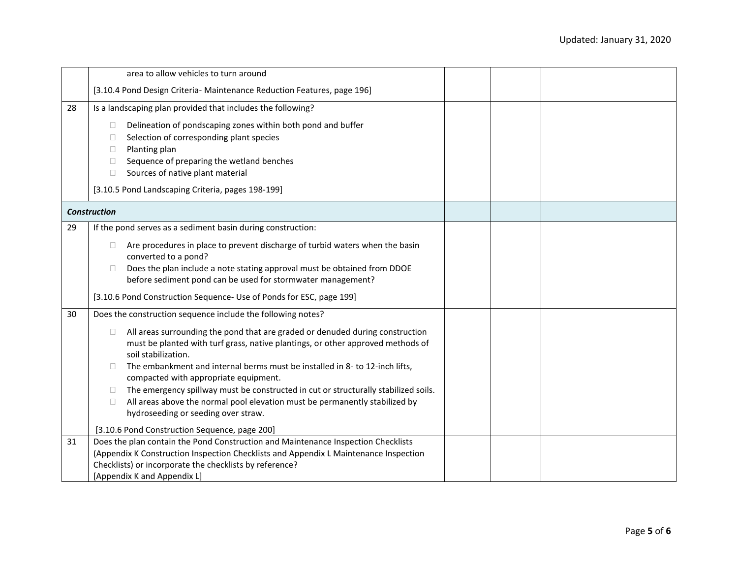|    | area to allow vehicles to turn around                                                                              |  |  |
|----|--------------------------------------------------------------------------------------------------------------------|--|--|
|    | [3.10.4 Pond Design Criteria- Maintenance Reduction Features, page 196]                                            |  |  |
| 28 | Is a landscaping plan provided that includes the following?                                                        |  |  |
|    | Delineation of pondscaping zones within both pond and buffer<br>$\Box$                                             |  |  |
|    | Selection of corresponding plant species<br>$\Box$                                                                 |  |  |
|    | Planting plan<br>$\Box$                                                                                            |  |  |
|    | Sequence of preparing the wetland benches<br>$\Box$                                                                |  |  |
|    | Sources of native plant material<br>П                                                                              |  |  |
|    | [3.10.5 Pond Landscaping Criteria, pages 198-199]                                                                  |  |  |
|    | <b>Construction</b>                                                                                                |  |  |
| 29 | If the pond serves as a sediment basin during construction:                                                        |  |  |
|    | Are procedures in place to prevent discharge of turbid waters when the basin<br>$\Box$                             |  |  |
|    | converted to a pond?                                                                                               |  |  |
|    | Does the plan include a note stating approval must be obtained from DDOE                                           |  |  |
|    | before sediment pond can be used for stormwater management?                                                        |  |  |
|    | [3.10.6 Pond Construction Sequence- Use of Ponds for ESC, page 199]                                                |  |  |
| 30 | Does the construction sequence include the following notes?                                                        |  |  |
|    | All areas surrounding the pond that are graded or denuded during construction<br>$\Box$                            |  |  |
|    | must be planted with turf grass, native plantings, or other approved methods of                                    |  |  |
|    | soil stabilization.<br>The embankment and internal berms must be installed in 8- to 12-inch lifts,<br>$\mathbf{1}$ |  |  |
|    | compacted with appropriate equipment.                                                                              |  |  |
|    | The emergency spillway must be constructed in cut or structurally stabilized soils.<br>П                           |  |  |
|    | All areas above the normal pool elevation must be permanently stabilized by<br>$\Box$                              |  |  |
|    | hydroseeding or seeding over straw.                                                                                |  |  |
|    | [3.10.6 Pond Construction Sequence, page 200]                                                                      |  |  |
| 31 | Does the plan contain the Pond Construction and Maintenance Inspection Checklists                                  |  |  |
|    | (Appendix K Construction Inspection Checklists and Appendix L Maintenance Inspection                               |  |  |
|    | Checklists) or incorporate the checklists by reference?                                                            |  |  |
|    | [Appendix K and Appendix L]                                                                                        |  |  |